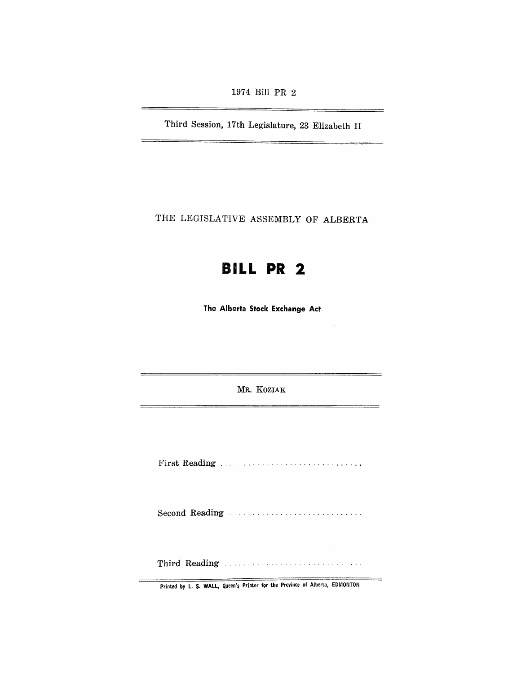1974 Bill PR 2

Third Session, 17th Legislature, 23 Elizabeth II

THE LEGISLATIVE ASSEMBLY OF ALBERTA

# **BILL PR 2**

The Alberta Stock Exchange Act

MR. KOZIAK

--

≒

First Reading .............................. .

Second Reading ............................ .

Thir1d Readin:g ............................. .

Printed by L. \$. WALL, Queen's Printer for the Province of Alberta, EDMQNTON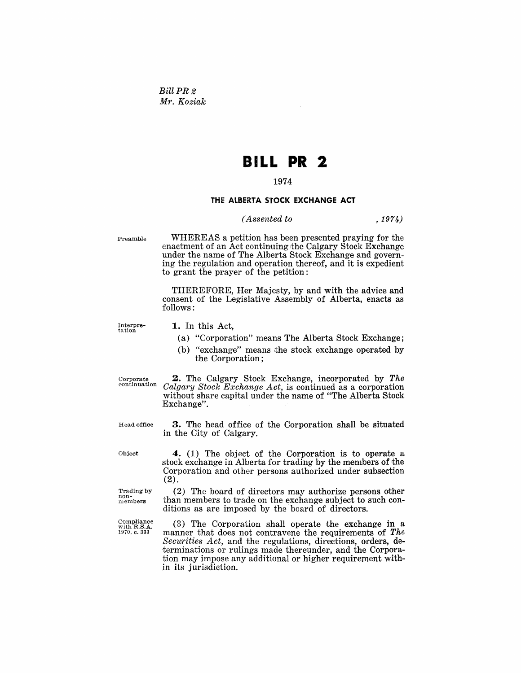*BillPR2 Mr. Koziak* 

## **BILL PR 2**

### 1974

#### THE ALBERTA STOCK EXCHANGE ACT

#### *( Assented to* ,1974)

Preamble

WHEREAS a petition has been presented praying for the enactment of an Act continuing the Calgary Stock Exchange under the name of The Alberta Stock Exchange and governing the regulation and operation thereof, and it is expedient to grant the prayer of the petition:

THEREFORE, Her Majesty, by and with the advice and consent of the Legislative Assembly of Alberta, enacts as follows:

Interpre-tation

- 1. In this Act,
- (a) "Corporation" means The Alberta Stock Exchange;
- $(b)$  "exchange" means the stock exchange operated by the Corporation;

Corpo**rate**<br>contin**uation** 

2. The Calgary Stock Exchange, incorporated by *The Calgary Stock Exchange Act,* is continued as a corporation without share capital under the name of "The Alberta Stock Exchange".

Head office

3. The head office of the Corporation shall be situated in the City of Calgary.

Object

4. (1) The object of the Corporation is to operate a stock exchange in Alberta for trading by the members of the Corporation and other persons authorized under subsection (2).

Trading by non-<br>members (2) The board of directors may authorize persons other than members to trade on the exchange subject to such con-

Compliance<br>with R.S.A.<br>1970, c. 333 ditions as are imposed by the board of directors.

(3) The Corporation shall operate the exchange in a manner that does not contravene the requirements of *The Securities Act,* and the regulations, directions, orders, determinations or rulings made thereunder, and the Corporation may impose any additional or higher requirement within its jurisdiction.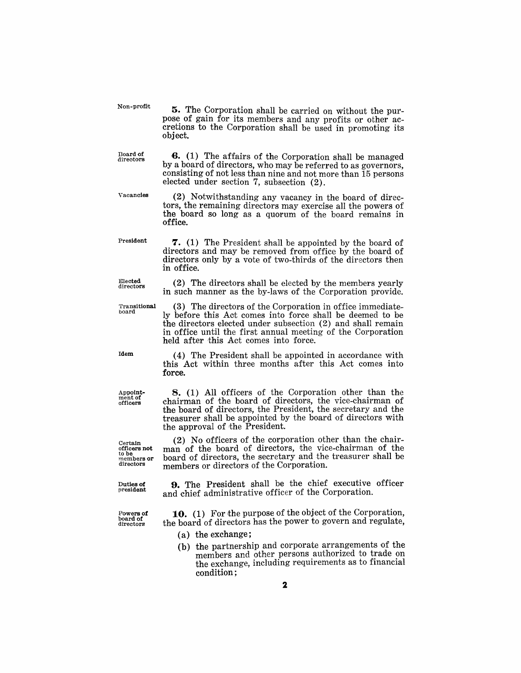5. The Corporation shall be carried on without the purpose of gain for its members and any profits or other accretions to the Corporation shall be used in promoting its object.

**6.** (1) The affairs of the Corporation shall be managed by a board of directors, who may be referred to as governors, consisting of not less than nine and not more than 15 persons elected under section 7, subsection (2).

(2) Notwithstanding any vacancy in the board of directors, the remaining directors may exercise all the powers of the board so long as a quorum of the board remains in office.

7. (1) The President shall be appointed by the board of directors and may be removed from office by the board of directors only by a vote of two-thirds of the directors then

(2) The directors shall be elected by the members yearly in such manner as the by-laws of the Corporation provide.

President

Non-profit

Board of<br>directors

Vacancies

Elected directors

Transitional board

in office.

 $(3)$  The directors of the Corporation in office immediately before this Act comes into force shall be deemed to be the directors elected under subsection (2) and shall remain in office until the first annual meeting of the Corporation held after this Act comes into force.

(4) The President shall be appointed in accordance with this Act within three months after this Act comes into force.

8. (1) All officers of the Corporation other than the chairman of the board of directors, the vice-chairman of the board of directors, the President, the secretary and the treasurer shall be appointed by the board of directors with the approval of the President.

(2) No officers of the corporation other than the chairman of the board of directors, the vice-chairman of the board of directors, the secretary and the treasurer shall be members or directors of the Corporation.

9. The President shall be the chief executive officer and chief administrative officer of the Corporation.

**10.** (1) For the purpose of the object of the Corporation, the board of directors has the power to govern and regulate,

- (a) the exchange;
- (b) the partnership and corporate arrangements of the members and other persons authorized to trade on the exchange, including requirements as to financial condition;

Idem

Appoint-mentof officers

Certain<br>officers not<br>to be members or<br>directors

Dutle**s of**<br>president

Powers of board of directors'